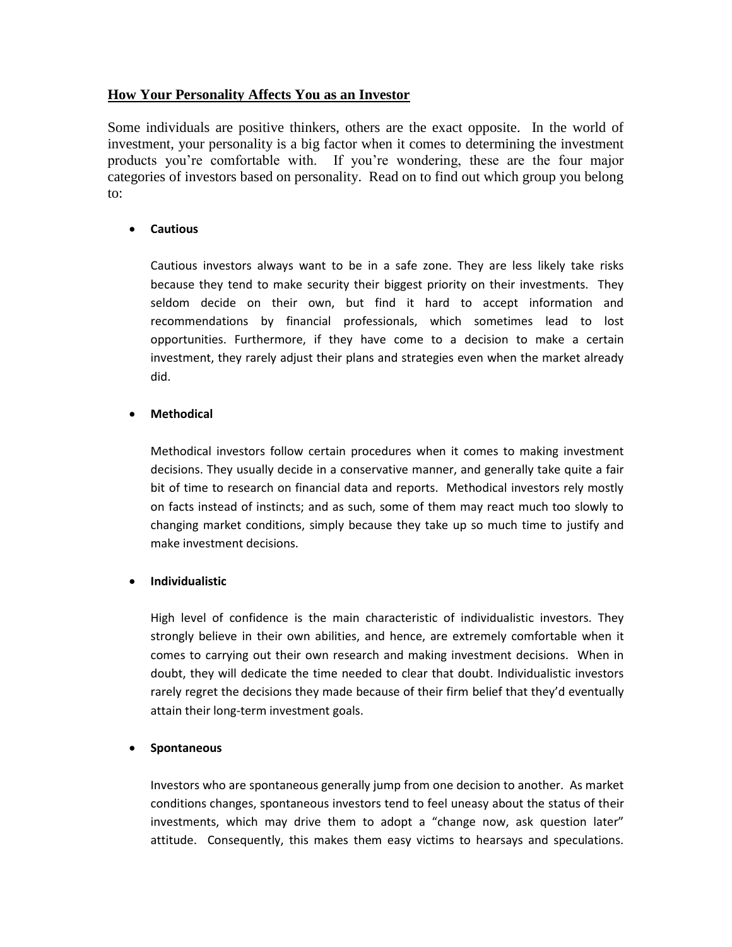# **How Your Personality Affects You as an Investor**

Some individuals are positive thinkers, others are the exact opposite. In the world of investment, your personality is a big factor when it comes to determining the investment products you're comfortable with. If you're wondering, these are the four major categories of investors based on personality. Read on to find out which group you belong to:

## **Cautious**

Cautious investors always want to be in a safe zone. They are less likely take risks because they tend to make security their biggest priority on their investments. They seldom decide on their own, but find it hard to accept information and recommendations by financial professionals, which sometimes lead to lost opportunities. Furthermore, if they have come to a decision to make a certain investment, they rarely adjust their plans and strategies even when the market already did.

### **Methodical**

Methodical investors follow certain procedures when it comes to making investment decisions. They usually decide in a conservative manner, and generally take quite a fair bit of time to research on financial data and reports. Methodical investors rely mostly on facts instead of instincts; and as such, some of them may react much too slowly to changing market conditions, simply because they take up so much time to justify and make investment decisions.

#### **Individualistic**

High level of confidence is the main characteristic of individualistic investors. They strongly believe in their own abilities, and hence, are extremely comfortable when it comes to carrying out their own research and making investment decisions. When in doubt, they will dedicate the time needed to clear that doubt. Individualistic investors rarely regret the decisions they made because of their firm belief that they'd eventually attain their long-term investment goals.

#### **Spontaneous**

Investors who are spontaneous generally jump from one decision to another. As market conditions changes, spontaneous investors tend to feel uneasy about the status of their investments, which may drive them to adopt a "change now, ask question later" attitude. Consequently, this makes them easy victims to hearsays and speculations.